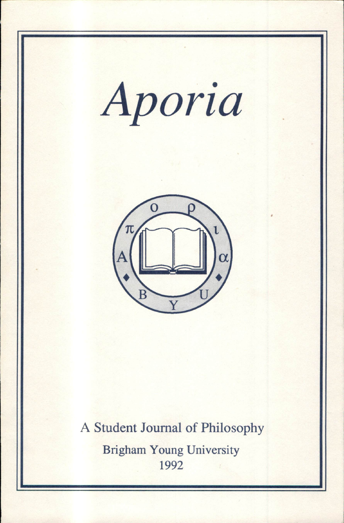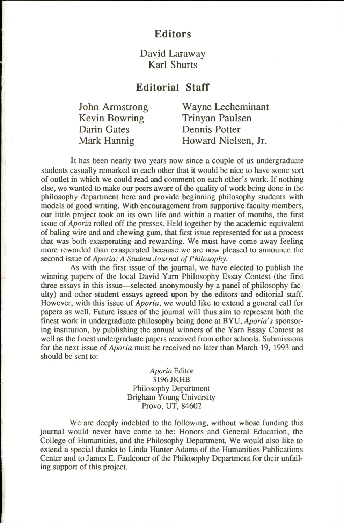#### Editors

### David Laraway Karl Shurts

## Editorial Staff

Darin Gates Dennis Potter

John Armstrong Wayne Lecheminant<br>Kevin Bowring Trinvan Paulsen Trinyan Paulsen Mark Hannig Howard Nielsen, Jr.

It has been nearly two years now since a couple of us undergraduate students casually remarked to each other that it would be nice to have some sort of outlet in which we could read and comment on each other's work. If nothing else, we wanted to make our peers aware of the quality of work being done in the philosophy department here and provide beginning philosophy students with models of good writing. With encouragement from supportive faculty members, our little project took on its own life and within a matter of months, the first issue of Aporia rolled off the presses. Held together by the academic equivalent of baling wire and and chewing gum, that first issue represented for us a process that was both exasperating and rewarding. We must have come away feeling more rewarded than exasperated because we are now pleased to announce the second issue of Aporia: A Student Journal of Philosophy.

As with the first issue of the journal, we have elected to publish the winning papers of the local David Yam Philosophy Essay Contest (the first three essays in this issue—selected anonymously by a panel of philosophy fac ulty) and other student essays agreed upon by the editors and editorial staff. However, with this issue of Aporia, we would like to extend a general call for papers as well. Future issues of the journal will thus aim to represent both the finest work in undergraduate philosophy being done at BYU, Aporia's sponsor ing institution, by publishing the annual winners of the Yam Essay Contest as well as the finest undergraduate papers received from other schools. Submissions for the next issue of Aporia must be received no later than March 19, 1993 and should be sent to:

> Aporia Editor 3196JKHB Philosophy Department Brigham Young University Provo, UT, 84602

We are deeply indebted to the following, without whose funding this joumal would never have come to be: Honors and General Education, the College of Humanities, and the Philosophy Department. We would also like to extend a special thanks to Linda Hunter Adams of the Humanities Publications Center and to James E. Faulconer of the Philosophy Department for their unfail ing support of this project.